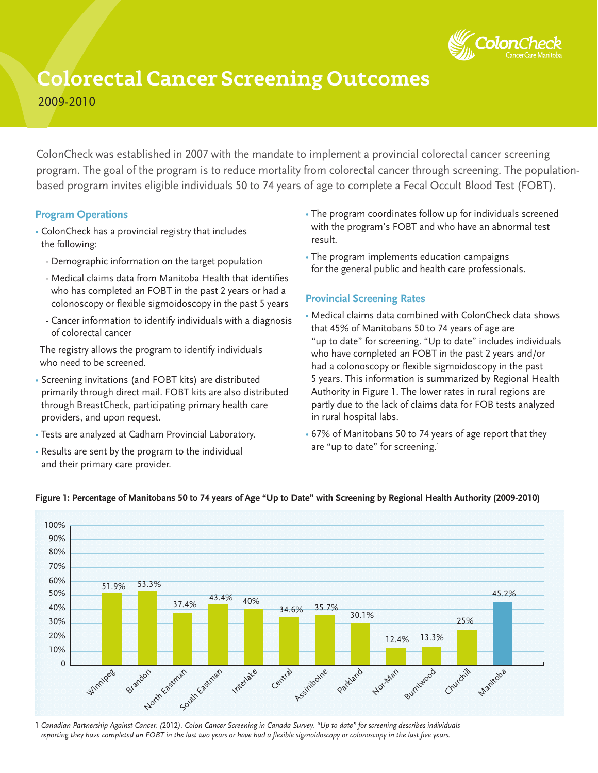

# **Colorectal Cancer Screening Outcomes**

2009-2010

ColonCheck was established in 2007 with the mandate to implement a provincial colorectal cancer screening program. The goal of the program is to reduce mortality from colorectal cancer through screening. The populationbased program invites eligible individuals 50 to 74 years of age to complete a Fecal Occult Blood Test (FOBT).

#### **Program Operations**

- ColonCheck has a provincial registry that includes the following:
	- Demographic information on the target population
	- Medical claims data from Manitoba Health that identifies who has completed an FOBT in the past 2 years or had a colonoscopy or flexible sigmoidoscopy in the past 5 years
	- Cancer information to identify individuals with a diagnosis of colorectal cancer

 The registry allows the program to identify individuals who need to be screened.

- Screening invitations (and FOBT kits) are distributed primarily through direct mail. FOBT kits are also distributed through BreastCheck, participating primary health care providers, and upon request.
- Tests are analyzed at Cadham Provincial Laboratory.
- Results are sent by the program to the individual and their primary care provider.
- The program coordinates follow up for individuals screened with the program's FOBT and who have an abnormal test result.
- The program implements education campaigns for the general public and health care professionals.

#### **Provincial Screening Rates**

- Medical claims data combined with ColonCheck data shows that 45% of Manitobans 50 to 74 years of age are "up to date" for screening. "Up to date" includes individuals who have completed an FOBT in the past 2 years and/or had a colonoscopy or flexible sigmoidoscopy in the past 5 years. This information is summarized by Regional Health Authority in Figure 1. The lower rates in rural regions are partly due to the lack of claims data for FOB tests analyzed in rural hospital labs.
- 67% of Manitobans 50 to 74 years of age report that they are "up to date" for screening.<sup>1</sup>



#### **Figure 1: Percentage of Manitobans 50 to 74 years of Age "Up to Date" with Screening by Regional Health Authority (2009-2010)**

1 *Canadian Partnership Against Cancer. (*2012*). Colon Cancer Screening in Canada Survey. "Up to date" for screening describes individuals reporting they have completed an FOBT in the last two years or have had a flexible sigmoidoscopy or colonoscopy in the last five years.*